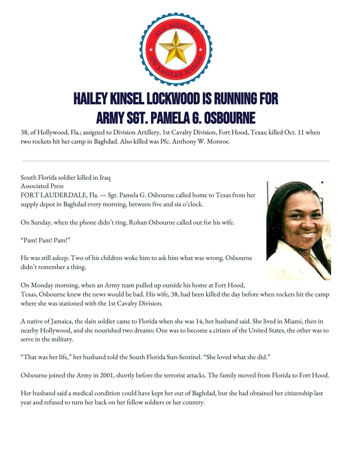

38, of Hollywood, Fla.; assigned to Division Artillery, 1st Cavalry Division, Fort Hood, Texas; killed Oct. 11 when two rockets hit her camp in Baghdad. Also killed was Pfc. Anthony W. Monroe.

South Florida soldier killed in Iraq Associated Press FORT LAUDERDALE, Fla. — Sgt. Pamela G. Osbourne called home to Texas from her supply depot in Baghdad every morning, between five and six o'clock.

On Sunday, when the phone didn't ring, Rohan Osbourne called out for his wife.

"Pam! Pam! Pam!"

He was still asleep. Two of his children woke him to ask him what was wrong. Osbourne didn't remember a thing.

On Monday morning, when an Army team pulled up outside his home at Fort Hood, Texas, Osbourne knew the news would be bad. His wife, 38, had been killed the day before when rockets hit the camp where she was stationed with the 1st Cavalry Division.

A native of Jamaica, the slain soldier came to Florida when she was 14, her husband said. She lived in Miami, then in nearby Hollywood, and she nourished two dreams: One was to become a citizen of the United States, the other was to serve in the military.

"That was her life," her husband told the South Florida Sun-Sentinel. "She loved what she did."

Osbourne joined the Army in 2001, shortly before the terrorist attacks. The family moved from Florida to Fort Hood.

Her husband said a medical condition could have kept her out of Baghdad, but she had obtained her citizenship last year and refused to turn her back on her fellow soldiers or her country.